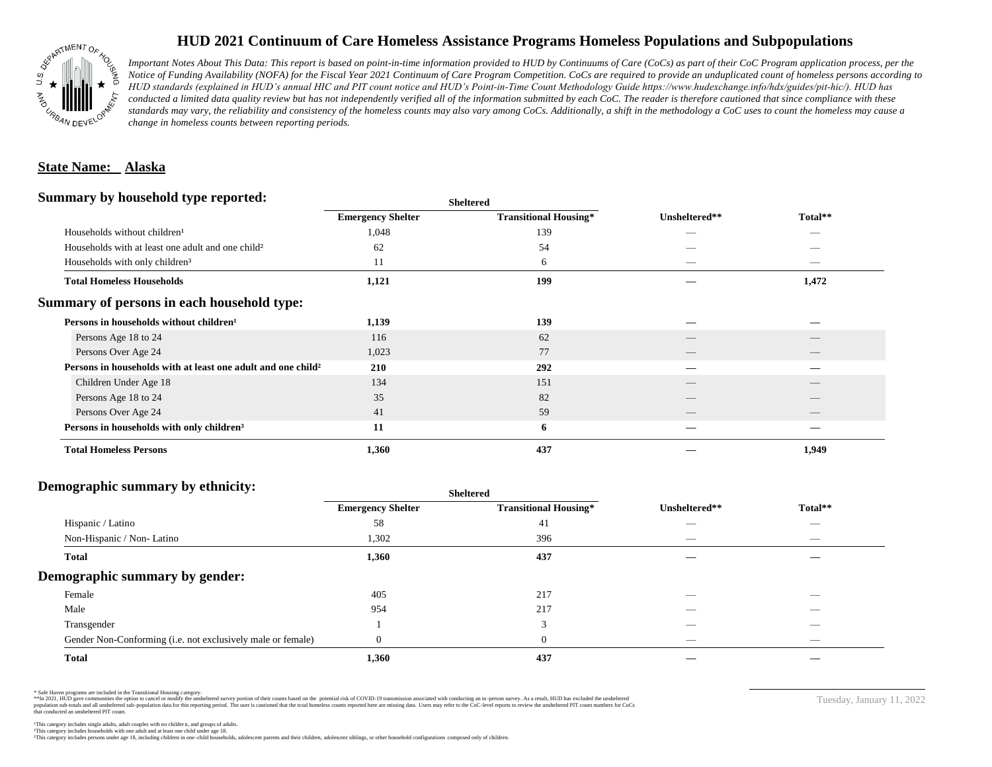

## **HUD 2021 Continuum of Care Homeless Assistance Programs Homeless Populations and Subpopulations**

*Important Notes About This Data: This report is based on point-in-time information provided to HUD by Continuums of Care (CoCs) as part of their CoC Program application process, per the Notice of Funding Availability (NOFA) for the Fiscal Year 2021 Continuum of Care Program Competition. CoCs are required to provide an unduplicated count of homeless persons according to HUD standards (explained in HUD's annual HIC and PIT count notice and HUD's Point-in-Time Count Methodology Guide https://www.hudexchange.info/hdx/guides/pit-hic/). HUD has*  conducted a limited data quality review but has not independently verified all of the information submitted by each CoC. The reader is therefore cautioned that since compliance with these standards may vary, the reliability and consistency of the homeless counts may also vary among CoCs. Additionally, a shift in the methodology a CoC uses to count the homeless may cause a *change in homeless counts between reporting periods.*

## **State Name: Alaska**

#### **Summary by household type reported:**

| <b>Emergency Shelter</b>                                            | <b>Transitional Housing*</b> | Unsheltered**            | Total**                         |  |
|---------------------------------------------------------------------|------------------------------|--------------------------|---------------------------------|--|
| 1,048                                                               | 139                          |                          |                                 |  |
| 62                                                                  | 54                           |                          |                                 |  |
| 11                                                                  | 6                            | $\hspace{0.05cm}$        | $\hspace{0.1mm}-\hspace{0.1mm}$ |  |
| 1,121                                                               | 199                          |                          | 1,472                           |  |
|                                                                     |                              |                          |                                 |  |
| 1,139                                                               | 139                          |                          |                                 |  |
| 116                                                                 | 62                           |                          |                                 |  |
| 1,023                                                               | 77                           | $\overline{\phantom{a}}$ | $\qquad \qquad$                 |  |
| Persons in households with at least one adult and one child?<br>210 | 292                          |                          |                                 |  |
| 134                                                                 | 151                          |                          |                                 |  |
| 35                                                                  | 82                           |                          |                                 |  |
| 41                                                                  | 59                           | __                       |                                 |  |
| 11                                                                  | 6                            |                          |                                 |  |
| 1,360                                                               | 437                          |                          | 1,949                           |  |
|                                                                     |                              | <b>Sheltered</b>         |                                 |  |

#### **Demographic summary by ethnicity:**

|                                                             | <b>Sheltered</b>         |                              |                   |                                |  |
|-------------------------------------------------------------|--------------------------|------------------------------|-------------------|--------------------------------|--|
|                                                             | <b>Emergency Shelter</b> | <b>Transitional Housing*</b> | Unsheltered**     | Total**                        |  |
| Hispanic / Latino                                           | 58                       | 41                           | --                | $\overline{\phantom{a}}$       |  |
| Non-Hispanic / Non-Latino                                   | 1,302                    | 396                          | $\hspace{0.05cm}$ | $\overbrace{\hspace{25mm}}^{}$ |  |
| <b>Total</b>                                                | 1,360                    | 437                          |                   |                                |  |
| Demographic summary by gender:                              |                          |                              |                   |                                |  |
| Female                                                      | 405                      | 217                          |                   |                                |  |
| Male                                                        | 954                      | 217                          | __                | $\overbrace{\hspace{25mm}}^{}$ |  |
| Transgender                                                 |                          | 3                            |                   | $\overbrace{\hspace{25mm}}^{}$ |  |
| Gender Non-Conforming (i.e. not exclusively male or female) | $\Omega$                 | $\mathbf{0}$                 | _                 | $\sim$                         |  |
| <b>Total</b>                                                | 1,360                    | 437                          |                   |                                |  |

\* Safe Haven programs are included in the Transitional Housing category.

\*\*In 2021, HUD gave communities the option to cancel or modify the unsheltered survey portion of their counts based on the potential risk of COVID-19 transmission associated with conducting an in-person survey. As a result n political and distribution of the resort in the constant of the experimental and the constant of the constant of the constant of the constant of the constant of the constant of the constant of the constant of the constan that conducted an unsheltered PIT count.

Tuesday, January 11, 2022

²This category includes households with one adult and at least one child under age 18. This category includes persons under age 18, including children in one -child households, adolescent parents and their children, adolescent siblings, or other household configurations composed only of children.